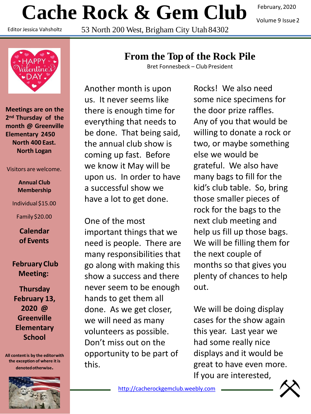# **Cache Rock & Gem Club**

Editor Jessica Vahsholtz

53 North 200 West, Brigham City Utah 84302

February, 2020

Volume 9 Issue2



**Meetings are on the 2nd Thursday of the month @ Greenville Elementary 2450 North 400 East. North Logan**

Visitors are welcome.

**Annual Club Membership**

Individual \$15.00

Family \$20.00

**Calendar of Events**

**February Club Meeting:**

**Thursday February 13, 2020 @ Greenville Elementary School**

**All content is by the editorwith the exception of where it is denotedotherwise.**



# **From the Top of the Rock Pile**

Bret Fonnesbeck – Club President

Another month is upon us. It never seems like there is enough time for everything that needs to be done. That being said, the annual club show is coming up fast. Before we know it May will be upon us. In order to have a successful show we have a lot to get done.

One of the most important things that we need is people. There are many responsibilities that go along with making this show a success and there never seem to be enough hands to get them all done. As we get closer, we will need as many volunteers as possible. Don't miss out on the opportunity to be part of this.

Rocks! We also need some nice specimens for the door prize raffles. Any of you that would be willing to donate a rock or two, or maybe something else we would be grateful. We also have many bags to fill for the kid's club table. So, bring those smaller pieces of rock for the bags to the next club meeting and help us fill up those bags. We will be filling them for the next couple of months so that gives you plenty of chances to help out.

We will be doing display cases for the show again this year. Last year we had some really nice displays and it would be great to have even more. If you are interested,

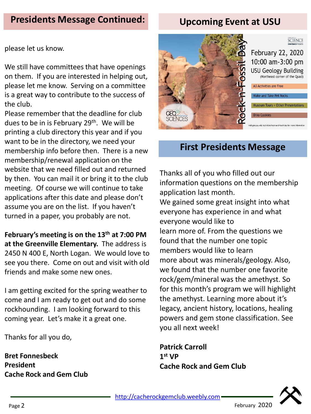# **Presidents Message Continued:**

# **Upcoming Event at USU**

please let us know.

We still have committees that have openings on them. If you are interested in helping out, please let me know. Serving on a committee is a great way to contribute to the success of the club.

Please remember that the deadline for club dues to be in is February 29<sup>th</sup>. We will be printing a club directory this year and if you want to be in the directory, we need your membership info before then. There is a new membership/renewal application on the website that we need filled out and returned by then. You can mail it or bring it to the club meeting. Of course we will continue to take applications after this date and please don't assume you are on the list. If you haven't turned in a paper, you probably are not.

**February's meeting is on the 13th at 7:00 PM at the Greenville Elementary.** The address is 2450 N 400 E, North Logan. We would love to see you there. Come on out and visit with old friends and make some new ones.

I am getting excited for the spring weather to come and I am ready to get out and do some rockhounding. I am looking forward to this coming year. Let's make it a great one.

Thanks for all you do,

**Bret Fonnesbeck President Cache Rock and Gem Club**



# **First Presidents Message**

Thanks all of you who filled out our information questions on the membership application last month. We gained some great insight into what everyone has experience in and what everyone would like to learn more of. From the questions we found that the number one topic members would like to learn more about was minerals/geology. Also, we found that the number one favorite rock/gem/mineral was the amethyst. So for this month's program we will highlight the amethyst. Learning more about it's legacy, ancient history, locations, healing powers and gem stone classification. See you all next week!

**Patrick Carroll 1 st VP Cache Rock and Gem Club**

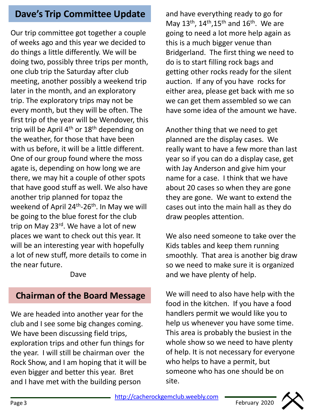# **Dave's Trip Committee Update**

Our trip committee got together a couple of weeks ago and this year we decided to do things a little differently. We will be doing two, possibly three trips per month, one club trip the Saturday after club meeting, another possibly a weekend trip later in the month, and an exploratory trip. The exploratory trips may not be every month, but they will be often. The first trip of the year will be Wendover, this trip will be April  $4<sup>th</sup>$  or  $18<sup>th</sup>$  depending on the weather, for those that have been with us before, it will be a little different. One of our group found where the moss agate is, depending on how long we are there, we may hit a couple of other spots that have good stuff as well. We also have another trip planned for topaz the weekend of April 24<sup>th</sup>-26<sup>th</sup>. In May we will be going to the blue forest for the club trip on May 23<sup>rd</sup>. We have a lot of new places we want to check out this year. It will be an interesting year with hopefully a lot of new stuff, more details to come in the near future.

Dave

## **Chairman of the Board Message**

We are headed into another year for the club and I see some big changes coming. We have been discussing field trips, exploration trips and other fun things for the year. I will still be chairman over the Rock Show, and I am hoping that it will be even bigger and better this year. Bret and I have met with the building person

and have everything ready to go for May  $13<sup>th</sup>$ ,  $14<sup>th</sup>$ ,  $15<sup>th</sup>$  and  $16<sup>th</sup>$ . We are going to need a lot more help again as this is a much bigger venue than Bridgerland. The first thing we need to do is to start filling rock bags and getting other rocks ready for the silent auction. If any of you have rocks for either area, please get back with me so we can get them assembled so we can have some idea of the amount we have.

Another thing that we need to get planned are the display cases. We really want to have a few more than last year so if you can do a display case, get with Jay Anderson and give him your name for a case. I think that we have about 20 cases so when they are gone they are gone. We want to extend the cases out into the main hall as they do draw peoples attention.

We also need someone to take over the Kids tables and keep them running smoothly. That area is another big draw so we need to make sure it is organized and we have plenty of help.

We will need to also have help with the food in the kitchen. If you have a food handlers permit we would like you to help us whenever you have some time. This area is probably the busiest in the whole show so we need to have plenty of help. It is not necessary for everyone who helps to have a permit, but someone who has one should be on site.

[http://cacherockgemclub.weebly.com](http://cacherockgemclub.weebly.com/) **Page 3** February 2020<br>Page 3 February 2020

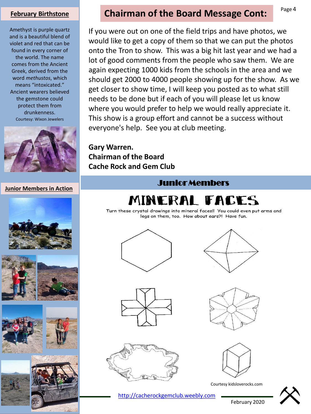#### **February Birthstone**

Amethyst is purple quartz and is a beautiful blend of violet and red that can be found in every corner of the world. The name comes from the Ancient Greek, derived from the word *methustos*, which means "intoxicated." Ancient wearers believed the gemstone could protect them from drunkenness. Courtesy: Wixon Jewelers



**Junior Members in Action**









## **Chairman of the Board Message Cont:**

If you were out on one of the field trips and have photos, we would like to get a copy of them so that we can put the photos onto the Tron to show. This was a big hit last year and we had a lot of good comments from the people who saw them. We are again expecting 1000 kids from the schools in the area and we should get 2000 to 4000 people showing up for the show. As we get closer to show time, I will keep you posted as to what still needs to be done but if each of you will please let us know where you would prefer to help we would really appreciate it. This show is a group effort and cannot be a success without everyone's help. See you at club meeting.

**Gary Warren. Chairman of the Board Cache Rock and Gem Club**





Turn these crystal drawings into mineral faces!! You could even put arms and legs on them, too. How about ears?! Have fun.







[http://cacherockgemclub.weebly.com](http://cacherockgemclub.weebly.com/)





Courtesy kidsloverocks.com



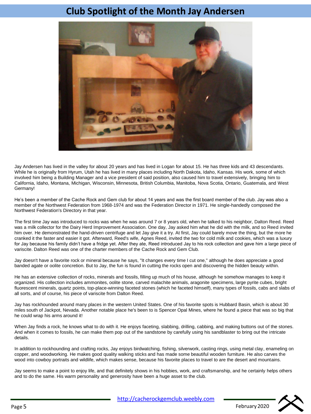#### **Club Spotlight of the Month Jay Andersen**



Jay Andersen has lived in the valley for about 20 years and has lived in Logan for about 15. He has three kids and 43 descendants. While he is originally from Hyrum, Utah he has lived in many places including North Dakota, Idaho, Kansas. His work, some of which involved him being a Building Manager and a vice president of said position, also caused him to travel extensively, bringing him to California, Idaho, Montana, Michigan, Wisconsin, Minnesota, British Columbia, Manitoba, Nova Scotia, Ontario, Guatemala, and West Germany!

He's been a member of the Cache Rock and Gem club for about 14 years and was the first board member of the club. Jay was also a member of the Northwest Federation from 1968-1974 and was the Federation Director in 1971. He single-handedly composed the Northwest Federation's Directory in that year.

The first time Jay was introduced to rocks was when he was around 7 or 8 years old, when he talked to his neighbor, Dalton Reed. Reed was a milk collector for the Dairy Herd Improvement Association. One day, Jay asked him what he did with the milk, and so Reed invited him over. He demonstrated the hand-driven centrifuge and let Jay give it a try. At first, Jay could barely move the thing, but the more he cranked it the faster and easier it got. Afterward, Reed's wife, Agnes Reed, invited the two for cold milk and cookies, which was a luxury for Jay because his family didn't have a fridge yet. After they ate, Reed introduced Jay to his rock collection and gave him a large piece of variscite. Dalton Reed was one of the charter members of the Cache Rock and Gem Club.

Jay doesn't have a favorite rock or mineral because he says, "It changes every time I cut one," although he does appreciate a good banded agate or oolite concretion. But to Jay, the fun is found in cutting the rocks open and discovering the hidden beauty within.

He has an extensive collection of rocks, minerals and fossils, filling up much of his house, although he somehow manages to keep it organized. His collection includes ammonites, oolite stone, carved malachite animals, aragonite specimens, large pyrite cubes, bright fluorescent minerals, quartz points, top-place-winning faceted stones (which he faceted himself), many types of fossils, cabs and slabs of all sorts, and of course, his piece of variscite from Dalton Reed.

Jay has rockhounded around many places in the western United States. One of his favorite spots is Hubbard Basin, which is about 30 miles south of Jackpot, Nevada. Another notable place he's been to is Spencer Opal Mines, where he found a piece that was so big that he could wrap his arms around it!

When Jay finds a rock, he knows what to do with it. He enjoys faceting, slabbing, drilling, cabbing, and making buttons out of the stones. And when it comes to fossils, he can make them pop out of the sandstone by carefully using his sandblaster to bring out the intricate details.

In addition to rockhounding and crafting rocks, Jay enjoys birdwatching, fishing, silverwork, casting rings, using metal clay, enameling on copper, and woodworking. He makes good quality walking sticks and has made some beautiful wooden furniture. He also carves the wood into cowboy portraits and wildlife, which makes sense, because his favorite places to travel to are the desert and mountains.

Jay seems to make a point to enjoy life, and that definitely shows in his hobbies, work, and craftsmanship, and he certainly helps others and to do the same. His warm personality and generosity have been a huge asset to the club.



[http://cacherockgemclub.weebly.com](http://cacherockgemclub.weebly.com/)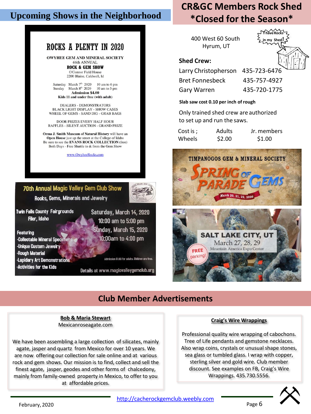### **Upcoming Shows in the Neighborhood**

#### **ROCKS A PLENTY IN 2020**

OWYHEE GEM AND MINERAL SOCIETY **66th ANNUAL** 

**ROCK & GEM SHOW** O'Connor Field House 2200 Blaine, Caldwell, Id

Saturday March  $7^{\text{th}}$  2020 10 am to 6 pm<br>Sunday March  $8^{\text{th}}$  2020 10 am to 5 pm Sunday **Admission \$4.00** Kids 11 and under free (with adult)

DEALERS - DEMONSTRATORS **BLACK LIGHT DISPLAY - SHOW CASES** WHEEL OF GEMS - SAND DIG - GRAB BAGS

DOOR PRIZES EVERY HALF HOUR RAFFLES - SILENT AUCTION - GRAND PRIZE

Orma J. Smith Museum of Natural History will have an Open House just up the street at the College of Idaho Be sure to see the EVANS ROCK COLLECTION (free) Both Days - Free Shuttle to & from the Gem Show

www.OwyheeRocks.com

#### 70th Annual Magic Valley Gem Club Show



Rocks, Gems, Minerals and Jewelry

**Twin Falls County Fairgrounds** Filer, Idaho

**Featuring Collectable Mineral Specimen Unique Custom Jewelry Rough Material Lapidary Art Demonstrations** -Activities for the Kids

Saturday, March 14, 2020 10:00 am to 5:00 pm Sunday, March 15, 2020 10:00am to 4:00 pm

Admission \$1.00 for adults. Children are free.

Details at www.magicvalleygemclub.org

# **CR&GC Members Rock Shed \*Closed for the Season\***

400 West 60 South Hyrum, UT



#### **Shed Crew:**

Larry Christopherson 435-723-6476 Bret Fonnesbeck 435-757-4927 Gary Warren 435-720-1775

#### **Slab saw cost 0.10 per inch ofrough**

Only trained shed crew are authorized to set up and run the saws.

| Cost is: | Adults | Jr. members |
|----------|--------|-------------|
| Wheels   | \$2.00 | \$1.00      |



## **Club Member Advertisements**

**Bob & Maria Stewart** Mexicanroseagate.com

We have been assembling a large collection of silicates, mainly agate, jasper and quartz from Mexico for over 10 years. We are now offering our collection for sale online and at various rock and gem shows. Our mission is to find, collect and sell the finest agate, jasper, geodes and other forms of chalcedony, mainly from family-owned property in Mexico, to offer to you at affordable prices.

#### **Craig's Wire Wrappings**

Professional quality wire wrapping of cabochons. Tree of Life pendants and gemstone necklaces. Also wrap coins, crystals or unusual shape stones, sea glass or tumbled glass. I wrap with copper, sterling silver and gold wire. Club member discount. See examples on FB, Craig's Wire Wrappings. 435.730.5556.